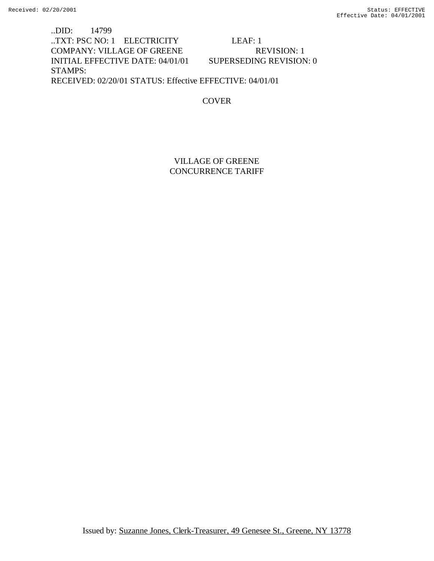..DID: 14799 ..TXT: PSC NO: 1 ELECTRICITY LEAF: 1 COMPANY: VILLAGE OF GREENE REVISION: 1 INITIAL EFFECTIVE DATE: 04/01/01 SUPERSEDING REVISION: 0 STAMPS: RECEIVED: 02/20/01 STATUS: Effective EFFECTIVE: 04/01/01

## **COVER**

# VILLAGE OF GREENE CONCURRENCE TARIFF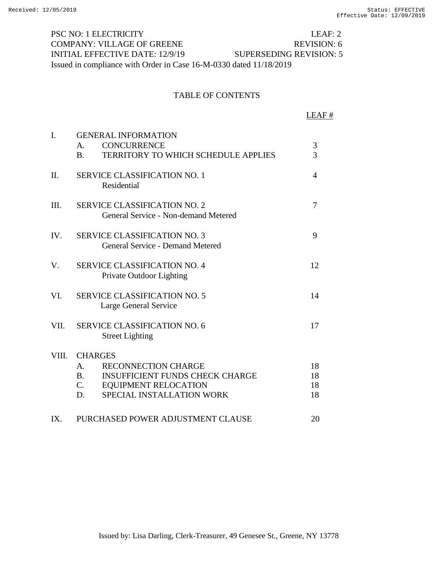PSC NO: 1 ELECTRICITY LEAF: 2 COMPANY: VILLAGE OF GREENE REVISION: 6 INITIAL EFFECTIVE DATE: 12/9/19 SUPERSEDING REVISION: 5 Issued in compliance with Order in Case 16-M-0330 dated 11/18/2019

#### TABLE OF CONTENTS

LEAF # I. GENERAL INFORMATION A. CONCURRENCE 3 B. TERRITORY TO WHICH SCHEDULE APPLIES 3 II. SERVICE CLASSIFICATION NO. 1 4 Residential III. SERVICE CLASSIFICATION NO. 2 7 General Service - Non-demand Metered IV. SERVICE CLASSIFICATION NO. 3 9 General Service - Demand Metered V. SERVICE CLASSIFICATION NO. 4 12 Private Outdoor Lighting VI. SERVICE CLASSIFICATION NO. 5 14 Large General Service VII. SERVICE CLASSIFICATION NO. 6 17 Street Lighting VIII. CHARGES A. RECONNECTION CHARGE 18 B. C. D. INSUFFICIENT FUNDS CHECK CHARGE EQUIPMENT RELOCATION SPECIAL INSTALLATION WORK 18 18 18 IX. PURCHASED POWER ADJUSTMENT CLAUSE 20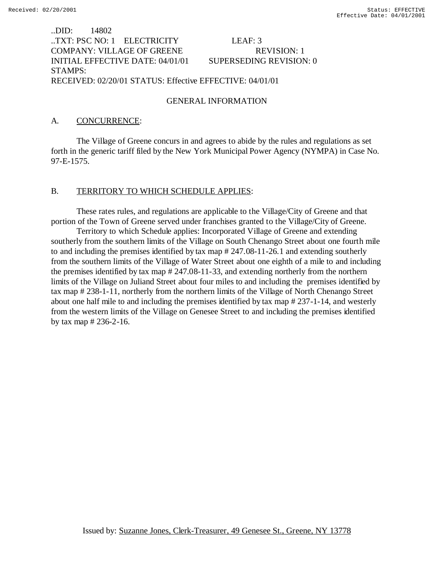# ..DID: 14802 ..TXT: PSC NO: 1 ELECTRICITY LEAF: 3 COMPANY: VILLAGE OF GREENE REVISION: 1 INITIAL EFFECTIVE DATE: 04/01/01 SUPERSEDING REVISION: 0 STAMPS: RECEIVED: 02/20/01 STATUS: Effective EFFECTIVE: 04/01/01

## GENERAL INFORMATION

## A. CONCURRENCE:

The Village of Greene concurs in and agrees to abide by the rules and regulations as set forth in the generic tariff filed by the New York Municipal Power Agency (NYMPA) in Case No. 97-E-1575.

#### B. TERRITORY TO WHICH SCHEDULE APPLIES:

These rates rules, and regulations are applicable to the Village/City of Greene and that portion of the Town of Greene served under franchises granted to the Village/City of Greene.

Territory to which Schedule applies: Incorporated Village of Greene and extending southerly from the southern limits of the Village on South Chenango Street about one fourth mile to and including the premises identified by tax map # 247.08-11-26.1 and extending southerly from the southern limits of the Village of Water Street about one eighth of a mile to and including the premises identified by tax map # 247.08-11-33, and extending northerly from the northern limits of the Village on Juliand Street about four miles to and including the premises identified by tax map # 238-1-11, northerly from the northern limits of the Village of North Chenango Street about one half mile to and including the premises identified by tax map # 237-1-14, and westerly from the western limits of the Village on Genesee Street to and including the premises identified by tax map # 236-2-16.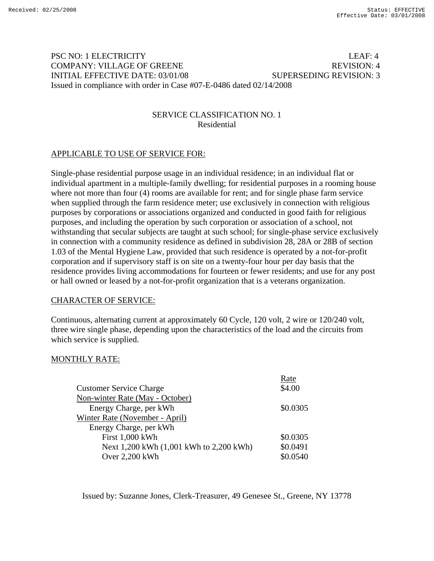# PSC NO: 1 ELECTRICITY LEAF: 4 COMPANY: VILLAGE OF GREENE A REVISION: 4 INITIAL EFFECTIVE DATE: 03/01/08 SUPERSEDING REVISION: 3 Issued in compliance with order in Case #07-E-0486 dated 02/14/2008

# SERVICE CLASSIFICATION NO. 1 Residential

# APPLICABLE TO USE OF SERVICE FOR:

Single-phase residential purpose usage in an individual residence; in an individual flat or individual apartment in a multiple-family dwelling; for residential purposes in a rooming house where not more than four (4) rooms are available for rent; and for single phase farm service when supplied through the farm residence meter; use exclusively in connection with religious purposes by corporations or associations organized and conducted in good faith for religious purposes, and including the operation by such corporation or association of a school, not withstanding that secular subjects are taught at such school; for single-phase service exclusively in connection with a community residence as defined in subdivision 28, 28A or 28B of section 1.03 of the Mental Hygiene Law, provided that such residence is operated by a not-for-profit corporation and if supervisory staff is on site on a twenty-four hour per day basis that the residence provides living accommodations for fourteen or fewer residents; and use for any post or hall owned or leased by a not-for-profit organization that is a veterans organization.

## CHARACTER OF SERVICE:

Continuous, alternating current at approximately 60 Cycle, 120 volt, 2 wire or 120/240 volt, three wire single phase, depending upon the characteristics of the load and the circuits from which service is supplied.

# MONTHLY RATE:

| Rate     |
|----------|
| \$4.00   |
|          |
| \$0.0305 |
|          |
|          |
| \$0.0305 |
| \$0.0491 |
| \$0.0540 |
|          |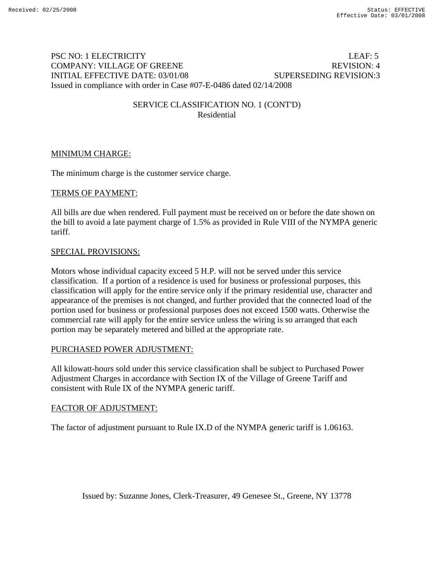# PSC NO: 1 ELECTRICITY LEAF: 5 COMPANY: VILLAGE OF GREENE And the second service of the REVISION: 4 INITIAL EFFECTIVE DATE: 03/01/08 SUPERSEDING REVISION:3 Issued in compliance with order in Case #07-E-0486 dated 02/14/2008

## SERVICE CLASSIFICATION NO. 1 (CONT'D) Residential

## MINIMUM CHARGE:

The minimum charge is the customer service charge.

## TERMS OF PAYMENT:

All bills are due when rendered. Full payment must be received on or before the date shown on the bill to avoid a late payment charge of 1.5% as provided in Rule VIII of the NYMPA generic tariff.

#### SPECIAL PROVISIONS:

Motors whose individual capacity exceed 5 H.P. will not be served under this service classification. If a portion of a residence is used for business or professional purposes, this classification will apply for the entire service only if the primary residential use, character and appearance of the premises is not changed, and further provided that the connected load of the portion used for business or professional purposes does not exceed 1500 watts. Otherwise the commercial rate will apply for the entire service unless the wiring is so arranged that each portion may be separately metered and billed at the appropriate rate.

## PURCHASED POWER ADJUSTMENT:

All kilowatt-hours sold under this service classification shall be subject to Purchased Power Adjustment Charges in accordance with Section IX of the Village of Greene Tariff and consistent with Rule IX of the NYMPA generic tariff.

## FACTOR OF ADJUSTMENT: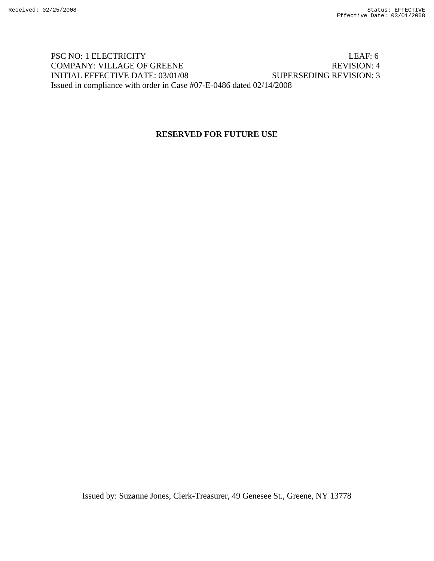# PSC NO: 1 ELECTRICITY LEAF: 6 COMPANY: VILLAGE OF GREENE REVISION: 4 INITIAL EFFECTIVE DATE: 03/01/08 SUPERSEDING REVISION: 3 Issued in compliance with order in Case #07-E-0486 dated 02/14/2008

# **RESERVED FOR FUTURE USE**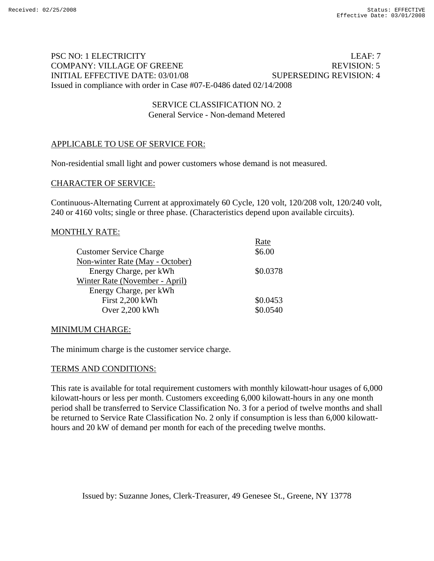# PSC NO: 1 ELECTRICITY LEAF: 7 COMPANY: VILLAGE OF GREENE REVISION: 5 INITIAL EFFECTIVE DATE: 03/01/08 SUPERSEDING REVISION: 4 Issued in compliance with order in Case #07-E-0486 dated 02/14/2008

## SERVICE CLASSIFICATION NO. 2 General Service - Non-demand Metered

# APPLICABLE TO USE OF SERVICE FOR:

Non-residential small light and power customers whose demand is not measured.

## CHARACTER OF SERVICE:

Continuous-Alternating Current at approximately 60 Cycle, 120 volt, 120/208 volt, 120/240 volt, 240 or 4160 volts; single or three phase. (Characteristics depend upon available circuits).

#### MONTHLY RATE:

|                                 | Rate     |
|---------------------------------|----------|
| <b>Customer Service Charge</b>  | \$6.00   |
| Non-winter Rate (May - October) |          |
| Energy Charge, per kWh          | \$0.0378 |
| Winter Rate (November - April)  |          |
| Energy Charge, per kWh          |          |
| <b>First 2,200 kWh</b>          | \$0.0453 |
| Over 2,200 kWh                  | \$0.0540 |

## MINIMUM CHARGE:

The minimum charge is the customer service charge.

## TERMS AND CONDITIONS:

This rate is available for total requirement customers with monthly kilowatt-hour usages of 6,000 kilowatt-hours or less per month. Customers exceeding 6,000 kilowatt-hours in any one month period shall be transferred to Service Classification No. 3 for a period of twelve months and shall be returned to Service Rate Classification No. 2 only if consumption is less than 6,000 kilowatthours and 20 kW of demand per month for each of the preceding twelve months.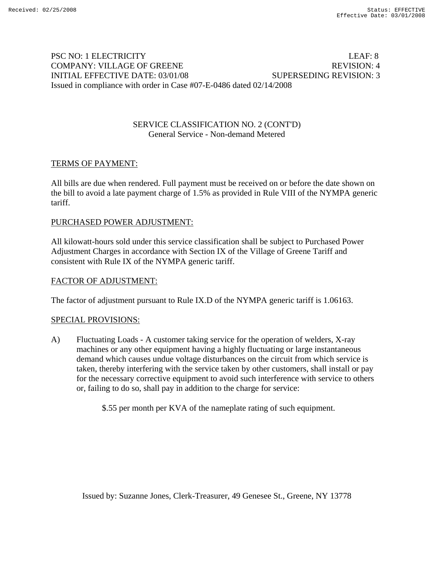# PSC NO: 1 ELECTRICITY LEAF: 8 COMPANY: VILLAGE OF GREENE A REVISION: 4 INITIAL EFFECTIVE DATE: 03/01/08 SUPERSEDING REVISION: 3 Issued in compliance with order in Case #07-E-0486 dated 02/14/2008

## SERVICE CLASSIFICATION NO. 2 (CONT'D) General Service - Non-demand Metered

# TERMS OF PAYMENT:

All bills are due when rendered. Full payment must be received on or before the date shown on the bill to avoid a late payment charge of 1.5% as provided in Rule VIII of the NYMPA generic tariff.

# PURCHASED POWER ADJUSTMENT:

All kilowatt-hours sold under this service classification shall be subject to Purchased Power Adjustment Charges in accordance with Section IX of the Village of Greene Tariff and consistent with Rule IX of the NYMPA generic tariff.

## FACTOR OF ADJUSTMENT:

The factor of adjustment pursuant to Rule IX.D of the NYMPA generic tariff is 1.06163.

## SPECIAL PROVISIONS:

A) Fluctuating Loads - A customer taking service for the operation of welders, X-ray machines or any other equipment having a highly fluctuating or large instantaneous demand which causes undue voltage disturbances on the circuit from which service is taken, thereby interfering with the service taken by other customers, shall install or pay for the necessary corrective equipment to avoid such interference with service to others or, failing to do so, shall pay in addition to the charge for service:

\$.55 per month per KVA of the nameplate rating of such equipment.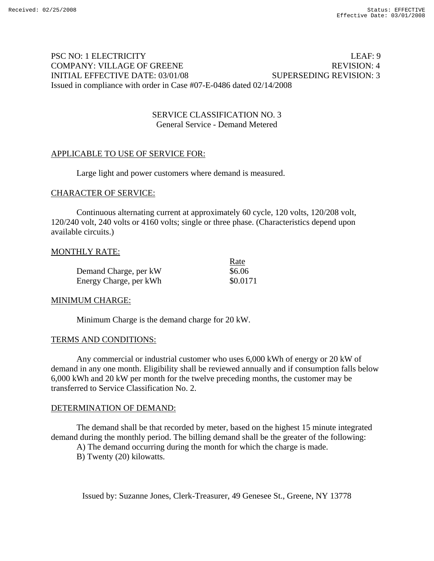# PSC NO: 1 ELECTRICITY LEAF: 9 COMPANY: VILLAGE OF GREENE REVISION: 4 INITIAL EFFECTIVE DATE: 03/01/08 SUPERSEDING REVISION: 3 Issued in compliance with order in Case #07-E-0486 dated 02/14/2008

## SERVICE CLASSIFICATION NO. 3 General Service - Demand Metered

# APPLICABLE TO USE OF SERVICE FOR:

Large light and power customers where demand is measured.

## CHARACTER OF SERVICE:

Continuous alternating current at approximately 60 cycle, 120 volts, 120/208 volt, 120/240 volt, 240 volts or 4160 volts; single or three phase. (Characteristics depend upon available circuits.)

## MONTHLY RATE:

|                        | Rate     |
|------------------------|----------|
| Demand Charge, per kW  | \$6.06   |
| Energy Charge, per kWh | \$0.0171 |

## MINIMUM CHARGE:

Minimum Charge is the demand charge for 20 kW.

# TERMS AND CONDITIONS:

Any commercial or industrial customer who uses 6,000 kWh of energy or 20 kW of demand in any one month. Eligibility shall be reviewed annually and if consumption falls below 6,000 kWh and 20 kW per month for the twelve preceding months, the customer may be transferred to Service Classification No. 2.

## DETERMINATION OF DEMAND:

The demand shall be that recorded by meter, based on the highest 15 minute integrated demand during the monthly period. The billing demand shall be the greater of the following:

A) The demand occurring during the month for which the charge is made.

B) Twenty (20) kilowatts.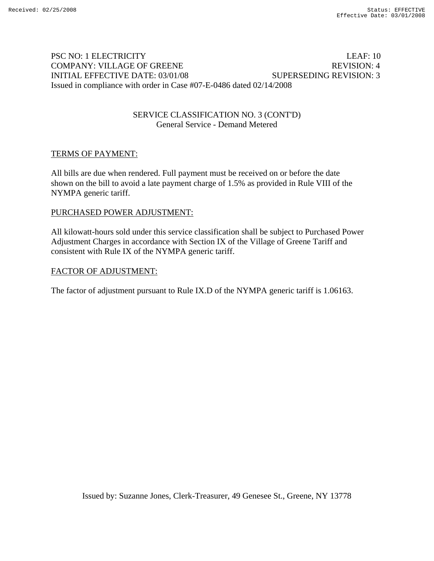# PSC NO: 1 ELECTRICITY LEAF: 10 COMPANY: VILLAGE OF GREENE REVISION: 4 INITIAL EFFECTIVE DATE: 03/01/08 SUPERSEDING REVISION: 3 Issued in compliance with order in Case #07-E-0486 dated 02/14/2008

## SERVICE CLASSIFICATION NO. 3 (CONT'D) General Service - Demand Metered

## TERMS OF PAYMENT:

All bills are due when rendered. Full payment must be received on or before the date shown on the bill to avoid a late payment charge of 1.5% as provided in Rule VIII of the NYMPA generic tariff.

## PURCHASED POWER ADJUSTMENT:

All kilowatt-hours sold under this service classification shall be subject to Purchased Power Adjustment Charges in accordance with Section IX of the Village of Greene Tariff and consistent with Rule IX of the NYMPA generic tariff.

#### FACTOR OF ADJUSTMENT: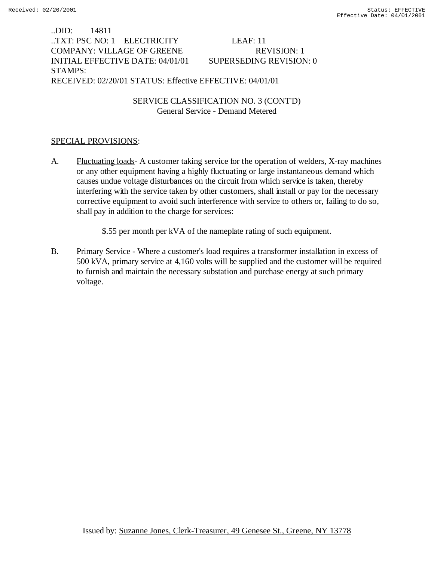..DID: 14811 ..TXT: PSC NO: 1 ELECTRICITY LEAF: 11 COMPANY: VILLAGE OF GREENE REVISION: 1 INITIAL EFFECTIVE DATE: 04/01/01 SUPERSEDING REVISION: 0 STAMPS: RECEIVED: 02/20/01 STATUS: Effective EFFECTIVE: 04/01/01

> SERVICE CLASSIFICATION NO. 3 (CONT'D) General Service - Demand Metered

## SPECIAL PROVISIONS:

- A. Fluctuating loads- A customer taking service for the operation of welders, X-ray machines or any other equipment having a highly fluctuating or large instantaneous demand which causes undue voltage disturbances on the circuit from which service is taken, thereby interfering with the service taken by other customers, shall install or pay for the necessary corrective equipment to avoid such interference with service to others or, failing to do so, shall pay in addition to the charge for services:
	- \$.55 per month per kVA of the nameplate rating of such equipment.
- B. Primary Service Where a customer's load requires a transformer installation in excess of 500 kVA, primary service at 4,160 volts will be supplied and the customer will be required to furnish and maintain the necessary substation and purchase energy at such primary voltage.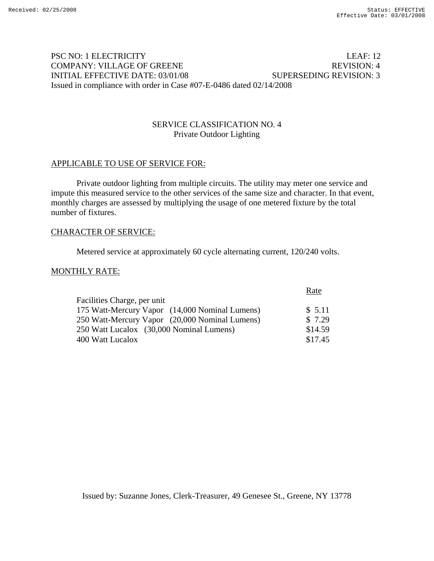# PSC NO: 1 ELECTRICITY LEAF: 12 COMPANY: VILLAGE OF GREENE REVISION: 4 INITIAL EFFECTIVE DATE: 03/01/08 SUPERSEDING REVISION: 3 Issued in compliance with order in Case #07-E-0486 dated 02/14/2008

## SERVICE CLASSIFICATION NO. 4 Private Outdoor Lighting

## APPLICABLE TO USE OF SERVICE FOR:

Private outdoor lighting from multiple circuits. The utility may meter one service and impute this measured service to the other services of the same size and character. In that event, monthly charges are assessed by multiplying the usage of one metered fixture by the total number of fixtures.

#### CHARACTER OF SERVICE:

Metered service at approximately 60 cycle alternating current, 120/240 volts.

#### MONTHLY RATE:

|                                                | Rate    |
|------------------------------------------------|---------|
| Facilities Charge, per unit                    |         |
| 175 Watt-Mercury Vapor (14,000 Nominal Lumens) | \$5.11  |
| 250 Watt-Mercury Vapor (20,000 Nominal Lumens) | \$7.29  |
| 250 Watt Lucalox (30,000 Nominal Lumens)       | \$14.59 |
| 400 Watt Lucalox                               | \$17.45 |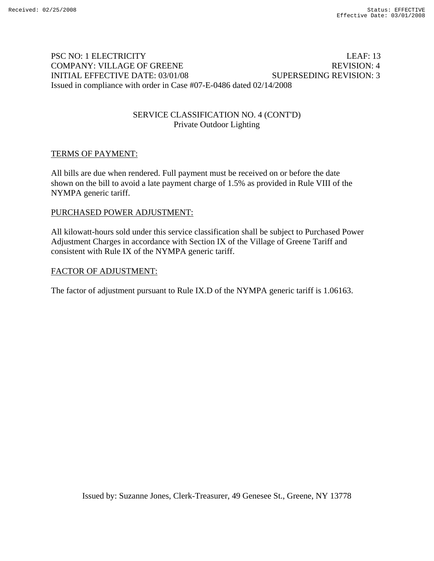# PSC NO: 1 ELECTRICITY LEAF: 13 COMPANY: VILLAGE OF GREENE REVISION: 4 INITIAL EFFECTIVE DATE: 03/01/08 SUPERSEDING REVISION: 3 Issued in compliance with order in Case #07-E-0486 dated 02/14/2008

# SERVICE CLASSIFICATION NO. 4 (CONT'D) Private Outdoor Lighting

## TERMS OF PAYMENT:

All bills are due when rendered. Full payment must be received on or before the date shown on the bill to avoid a late payment charge of 1.5% as provided in Rule VIII of the NYMPA generic tariff.

## PURCHASED POWER ADJUSTMENT:

All kilowatt-hours sold under this service classification shall be subject to Purchased Power Adjustment Charges in accordance with Section IX of the Village of Greene Tariff and consistent with Rule IX of the NYMPA generic tariff.

## FACTOR OF ADJUSTMENT: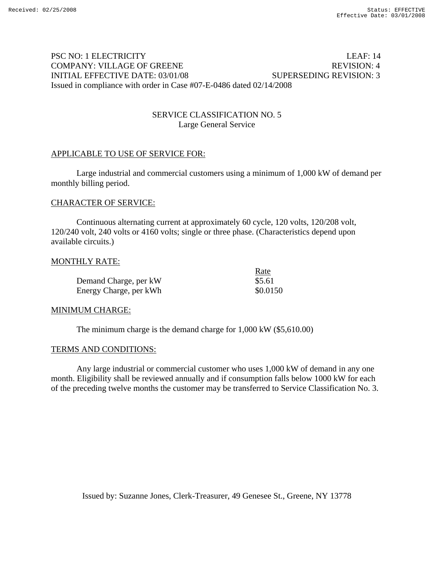# PSC NO: 1 ELECTRICITY LEAF: 14 COMPANY: VILLAGE OF GREENE REVISION: 4 INITIAL EFFECTIVE DATE: 03/01/08 SUPERSEDING REVISION: 3 Issued in compliance with order in Case #07-E-0486 dated 02/14/2008

## SERVICE CLASSIFICATION NO. 5 Large General Service

# APPLICABLE TO USE OF SERVICE FOR:

Large industrial and commercial customers using a minimum of 1,000 kW of demand per monthly billing period.

## CHARACTER OF SERVICE:

Continuous alternating current at approximately 60 cycle, 120 volts, 120/208 volt, 120/240 volt, 240 volts or 4160 volts; single or three phase. (Characteristics depend upon available circuits.)

#### MONTHLY RATE:

|                        | Rate     |
|------------------------|----------|
| Demand Charge, per kW  | \$5.61   |
| Energy Charge, per kWh | \$0.0150 |

## MINIMUM CHARGE:

The minimum charge is the demand charge for 1,000 kW (\$5,610.00)

#### TERMS AND CONDITIONS:

Any large industrial or commercial customer who uses 1,000 kW of demand in any one month. Eligibility shall be reviewed annually and if consumption falls below 1000 kW for each of the preceding twelve months the customer may be transferred to Service Classification No. 3.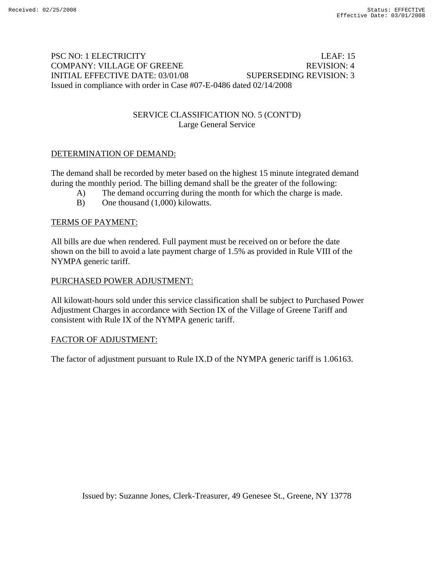# PSC NO: 1 ELECTRICITY LEAF: 15 COMPANY: VILLAGE OF GREENE REVISION: 4 INITIAL EFFECTIVE DATE: 03/01/08 SUPERSEDING REVISION: 3 Issued in compliance with order in Case #07-E-0486 dated 02/14/2008

# SERVICE CLASSIFICATION NO. 5 (CONT'D) Large General Service

# DETERMINATION OF DEMAND:

The demand shall be recorded by meter based on the highest 15 minute integrated demand during the monthly period. The billing demand shall be the greater of the following:

- A) The demand occurring during the month for which the charge is made.
- B) One thousand (1,000) kilowatts.

## TERMS OF PAYMENT:

All bills are due when rendered. Full payment must be received on or before the date shown on the bill to avoid a late payment charge of 1.5% as provided in Rule VIII of the NYMPA generic tariff.

## PURCHASED POWER ADJUSTMENT:

All kilowatt-hours sold under this service classification shall be subject to Purchased Power Adjustment Charges in accordance with Section IX of the Village of Greene Tariff and consistent with Rule IX of the NYMPA generic tariff.

## FACTOR OF ADJUSTMENT: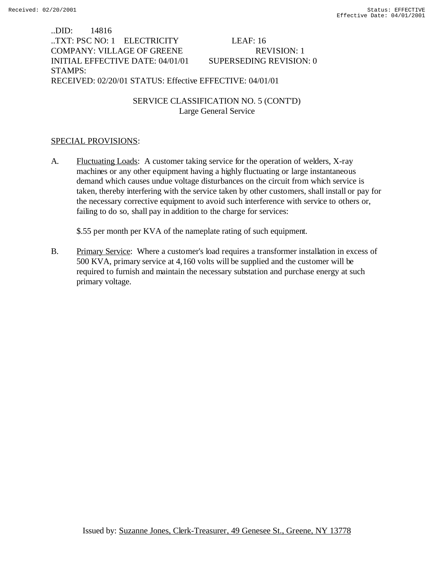..DID: 14816 ..TXT: PSC NO: 1 ELECTRICITY LEAF: 16 COMPANY: VILLAGE OF GREENE REVISION: 1 INITIAL EFFECTIVE DATE: 04/01/01 SUPERSEDING REVISION: 0 STAMPS: RECEIVED: 02/20/01 STATUS: Effective EFFECTIVE: 04/01/01

> SERVICE CLASSIFICATION NO. 5 (CONT'D) Large General Service

## SPECIAL PROVISIONS:

A. Fluctuating Loads: A customer taking service for the operation of welders, X-ray machines or any other equipment having a highly fluctuating or large instantaneous demand which causes undue voltage disturbances on the circuit from which service is taken, thereby interfering with the service taken by other customers, shall install or pay for the necessary corrective equipment to avoid such interference with service to others or, failing to do so, shall pay in addition to the charge for services:

\$.55 per month per KVA of the nameplate rating of such equipment.

B. Primary Service: Where a customer's load requires a transformer installation in excess of 500 KVA, primary service at 4,160 volts will be supplied and the customer will be required to furnish and maintain the necessary substation and purchase energy at such primary voltage.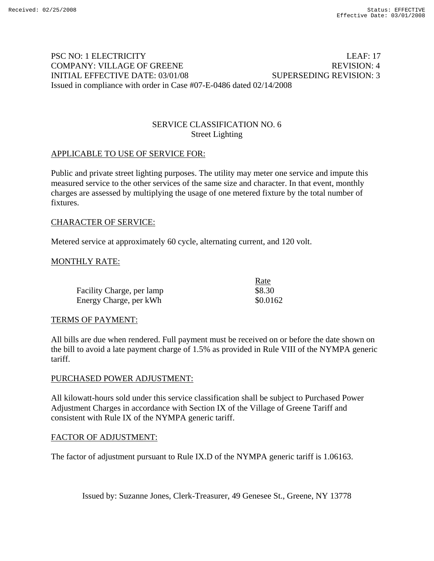# PSC NO: 1 ELECTRICITY LEAF: 17 COMPANY: VILLAGE OF GREENE And the second service of the REVISION: 4 INITIAL EFFECTIVE DATE: 03/01/08 SUPERSEDING REVISION: 3 Issued in compliance with order in Case #07-E-0486 dated 02/14/2008

## SERVICE CLASSIFICATION NO. 6 Street Lighting

## APPLICABLE TO USE OF SERVICE FOR:

Public and private street lighting purposes. The utility may meter one service and impute this measured service to the other services of the same size and character. In that event, monthly charges are assessed by multiplying the usage of one metered fixture by the total number of fixtures.

## CHARACTER OF SERVICE:

Metered service at approximately 60 cycle, alternating current, and 120 volt.

## MONTHLY RATE:

|                           | Rate     |
|---------------------------|----------|
| Facility Charge, per lamp | \$8.30   |
| Energy Charge, per kWh    | \$0.0162 |

## TERMS OF PAYMENT:

All bills are due when rendered. Full payment must be received on or before the date shown on the bill to avoid a late payment charge of 1.5% as provided in Rule VIII of the NYMPA generic tariff.

#### PURCHASED POWER ADJUSTMENT:

All kilowatt-hours sold under this service classification shall be subject to Purchased Power Adjustment Charges in accordance with Section IX of the Village of Greene Tariff and consistent with Rule IX of the NYMPA generic tariff.

## FACTOR OF ADJUSTMENT:

The factor of adjustment pursuant to Rule IX.D of the NYMPA generic tariff is 1.06163.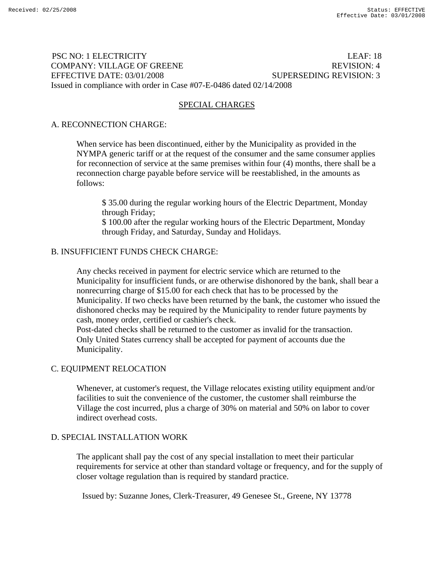# PSC NO: 1 ELECTRICITY LEAF: 18 COMPANY: VILLAGE OF GREENE And the second service of the REVISION: 4 EFFECTIVE DATE: 03/01/2008 SUPERSEDING REVISION: 3 Issued in compliance with order in Case #07-E-0486 dated 02/14/2008

## SPECIAL CHARGES

## A. RECONNECTION CHARGE:

When service has been discontinued, either by the Municipality as provided in the NYMPA generic tariff or at the request of the consumer and the same consumer applies for reconnection of service at the same premises within four (4) months, there shall be a reconnection charge payable before service will be reestablished, in the amounts as follows:

\$ 35.00 during the regular working hours of the Electric Department, Monday through Friday;

\$ 100.00 after the regular working hours of the Electric Department, Monday through Friday, and Saturday, Sunday and Holidays.

## B. INSUFFICIENT FUNDS CHECK CHARGE:

Any checks received in payment for electric service which are returned to the Municipality for insufficient funds, or are otherwise dishonored by the bank, shall bear a nonrecurring charge of \$15.00 for each check that has to be processed by the Municipality. If two checks have been returned by the bank, the customer who issued the dishonored checks may be required by the Municipality to render future payments by cash, money order, certified or cashier's check.

Post-dated checks shall be returned to the customer as invalid for the transaction. Only United States currency shall be accepted for payment of accounts due the Municipality.

# C. EQUIPMENT RELOCATION

Whenever, at customer's request, the Village relocates existing utility equipment and/or facilities to suit the convenience of the customer, the customer shall reimburse the Village the cost incurred, plus a charge of 30% on material and 50% on labor to cover indirect overhead costs.

## D. SPECIAL INSTALLATION WORK

The applicant shall pay the cost of any special installation to meet their particular requirements for service at other than standard voltage or frequency, and for the supply of closer voltage regulation than is required by standard practice.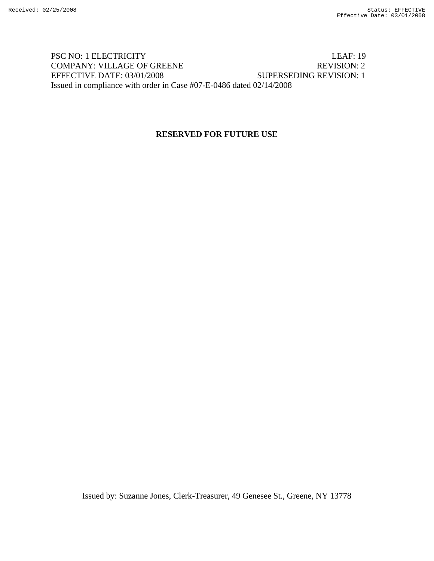# PSC NO: 1 ELECTRICITY LEAF: 19 COMPANY: VILLAGE OF GREENE REVISION: 2 EFFECTIVE DATE: 03/01/2008 SUPERSEDING REVISION: 1 Issued in compliance with order in Case #07-E-0486 dated 02/14/2008

# **RESERVED FOR FUTURE USE**